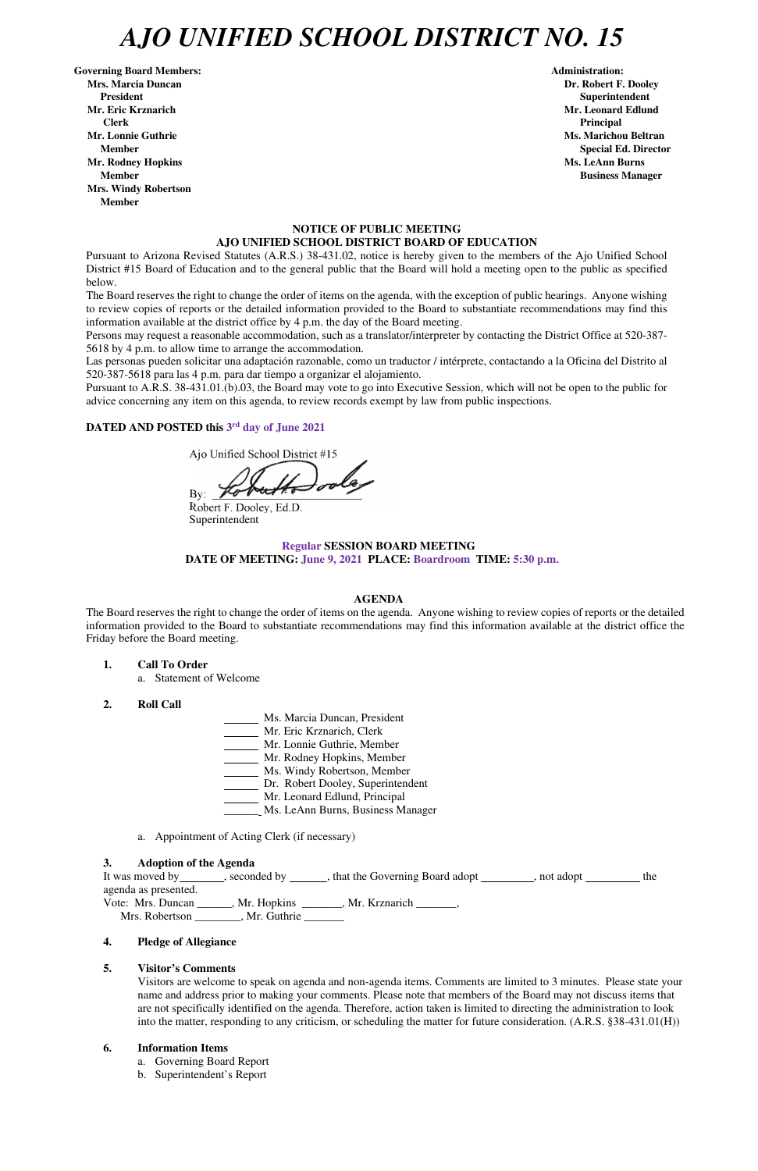# *AJO UNIFIED SCHOOL DISTRICT NO. 15*

Governing Board Members: **Administration: Administration: Administration: Mrs. Marcia Duncan Dr. Robert F. Dooley President Superintendent in the set of the set of the set of the set of the set of the Superintendent Superintendent Mr. Eric Krznarich Mr. Leonard Edlund Clerk Principal Mr. Lonnie Guthrie Ms. Marichou Beltran** *Ms. Marichou Beltran**Ms. Marichou Beltran*  **Mr. Rodney Hopkins Ms. LeAnn Burns in the United States of the United States of the United States of the United States of the United States of the United States of the United States of the United States of the United Sta Member Business Manager Business Manager Business Manager Mrs. Windy Robertson Member** 

**Member Special Ed. Director Special Ed. Director** 

### **NOTICE OF PUBLIC MEETING AJO UNIFIED SCHOOL DISTRICT BOARD OF EDUCATION**

Pursuant to Arizona Revised Statutes (A.R.S.) 38-431.02, notice is hereby given to the members of the Ajo Unified School District #15 Board of Education and to the general public that the Board will hold a meeting open to the public as specified below.

The Board reserves the right to change the order of items on the agenda, with the exception of public hearings. Anyone wishing to review copies of reports or the detailed information provided to the Board to substantiate recommendations may find this information available at the district office by 4 p.m. the day of the Board meeting.

Persons may request a reasonable accommodation, such as a translator/interpreter by contacting the District Office at 520-387- 5618 by 4 p.m. to allow time to arrange the accommodation.

Las personas pueden solicitar una adaptación razonable, como un traductor / intérprete, contactando a la Oficina del Distrito al 520-387-5618 para las 4 p.m. para dar tiempo a organizar el alojamiento.

It was moved by seconded by seconded by seconded by that the Governing Board adopt such a second by the second agenda as presented. Vote: Mrs. Duncan \_\_\_\_\_\_, Mr. Hopkins \_\_\_\_\_\_\_, Mr. Krznarich \_\_\_\_\_\_\_,

Mrs. Robertson \_\_\_\_\_\_\_, Mr. Guthrie \_\_\_\_\_\_

Pursuant to A.R.S. 38-431.01.(b).03, the Board may vote to go into Executive Session, which will not be open to the public for advice concerning any item on this agenda, to review records exempt by law from public inspections.

### **DATED AND POSTED this 3 rd day of June 2021**

Ajo Unified School District #15

 $Bv:$   $\mathscr{H}$ 

Robert F. Dooley, Ed.D. Superintendent

# **Regular SESSION BOARD MEETING DATE OF MEETING: June 9, 2021 PLACE: Boardroom TIME: 5:30 p.m.**

#### **AGENDA**

The Board reserves the right to change the order of items on the agenda. Anyone wishing to review copies of reports or the detailed information provided to the Board to substantiate recommendations may find this information available at the district office the Friday before the Board meeting.

#### **1. Call To Order**

a. Statement of Welcome

#### **2. Roll Call**

- Ms. Marcia Duncan, President
- Mr. Eric Krznarich, Clerk
	- Mr. Lonnie Guthrie, Member
	- Mr. Rodney Hopkins, Member
- Ms. Windy Robertson, Member
- Dr. Robert Dooley, Superintendent
- Mr. Leonard Edlund, Principal
- \_\_\_\_\_\_ Ms. LeAnn Burns, Business Manager
- a. Appointment of Acting Clerk (if necessary)
- 

#### **3. Adoption of the Agenda**

### **4. Pledge of Allegiance**

#### **5. Visitor's Comments**

Visitors are welcome to speak on agenda and non-agenda items. Comments are limited to 3 minutes. Please state your name and address prior to making your comments. Please note that members of the Board may not discuss items that are not specifically identified on the agenda. Therefore, action taken is limited to directing the administration to look into the matter, responding to any criticism, or scheduling the matter for future consideration. (A.R.S. §38-431.01(H))

#### **6. Information Items**

- a. Governing Board Report
- b. Superintendent's Report